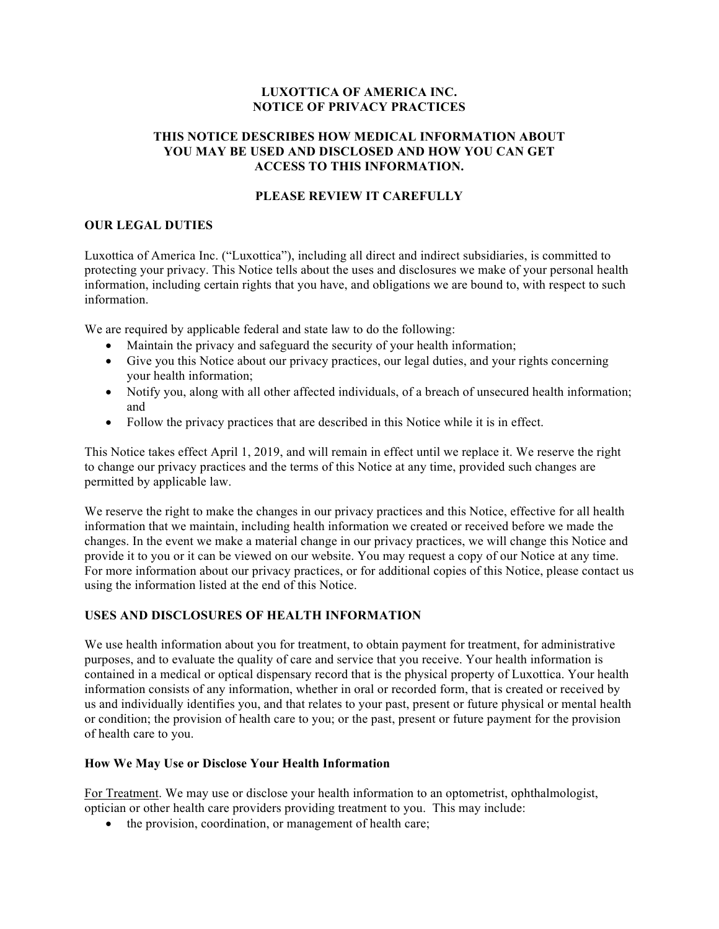### **LUXOTTICA OF AMERICA INC. NOTICE OF PRIVACY PRACTICES**

#### **THIS NOTICE DESCRIBES HOW MEDICAL INFORMATION ABOUT YOU MAY BE USED AND DISCLOSED AND HOW YOU CAN GET ACCESS TO THIS INFORMATION.**

### **PLEASE REVIEW IT CAREFULLY**

#### **OUR LEGAL DUTIES**

Luxottica of America Inc. ("Luxottica"), including all direct and indirect subsidiaries, is committed to protecting your privacy. This Notice tells about the uses and disclosures we make of your personal health information, including certain rights that you have, and obligations we are bound to, with respect to such information.

We are required by applicable federal and state law to do the following:

- Maintain the privacy and safeguard the security of your health information;
- Give you this Notice about our privacy practices, our legal duties, and your rights concerning your health information;
- Notify you, along with all other affected individuals, of a breach of unsecured health information; and
- Follow the privacy practices that are described in this Notice while it is in effect.

This Notice takes effect April 1, 2019, and will remain in effect until we replace it. We reserve the right to change our privacy practices and the terms of this Notice at any time, provided such changes are permitted by applicable law.

We reserve the right to make the changes in our privacy practices and this Notice, effective for all health information that we maintain, including health information we created or received before we made the changes. In the event we make a material change in our privacy practices, we will change this Notice and provide it to you or it can be viewed on our website. You may request a copy of our Notice at any time. For more information about our privacy practices, or for additional copies of this Notice, please contact us using the information listed at the end of this Notice.

# **USES AND DISCLOSURES OF HEALTH INFORMATION**

We use health information about you for treatment, to obtain payment for treatment, for administrative purposes, and to evaluate the quality of care and service that you receive. Your health information is contained in a medical or optical dispensary record that is the physical property of Luxottica. Your health information consists of any information, whether in oral or recorded form, that is created or received by us and individually identifies you, and that relates to your past, present or future physical or mental health or condition; the provision of health care to you; or the past, present or future payment for the provision of health care to you.

#### **How We May Use or Disclose Your Health Information**

For Treatment. We may use or disclose your health information to an optometrist, ophthalmologist, optician or other health care providers providing treatment to you. This may include:

• the provision, coordination, or management of health care;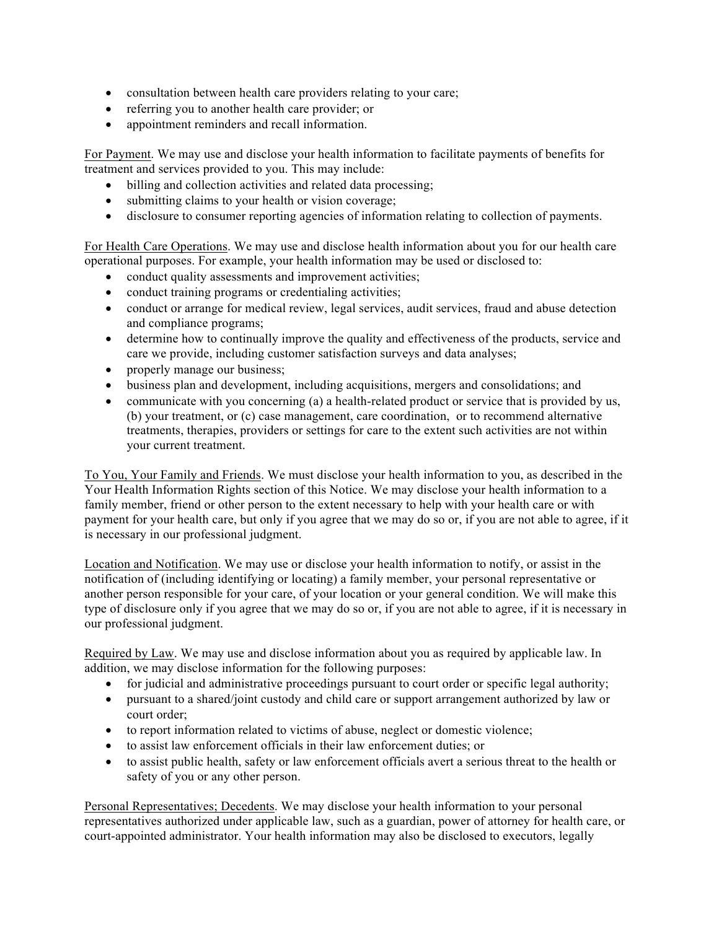- consultation between health care providers relating to your care;
- referring you to another health care provider; or
- appointment reminders and recall information.

For Payment. We may use and disclose your health information to facilitate payments of benefits for treatment and services provided to you. This may include:

- billing and collection activities and related data processing;
- submitting claims to your health or vision coverage;
- disclosure to consumer reporting agencies of information relating to collection of payments.

For Health Care Operations. We may use and disclose health information about you for our health care operational purposes. For example, your health information may be used or disclosed to:

- conduct quality assessments and improvement activities;
- conduct training programs or credentialing activities;
- conduct or arrange for medical review, legal services, audit services, fraud and abuse detection and compliance programs;
- determine how to continually improve the quality and effectiveness of the products, service and care we provide, including customer satisfaction surveys and data analyses;
- properly manage our business;
- business plan and development, including acquisitions, mergers and consolidations; and
- communicate with you concerning (a) a health-related product or service that is provided by us, (b) your treatment, or (c) case management, care coordination, or to recommend alternative treatments, therapies, providers or settings for care to the extent such activities are not within your current treatment.

To You, Your Family and Friends. We must disclose your health information to you, as described in the Your Health Information Rights section of this Notice. We may disclose your health information to a family member, friend or other person to the extent necessary to help with your health care or with payment for your health care, but only if you agree that we may do so or, if you are not able to agree, if it is necessary in our professional judgment.

Location and Notification. We may use or disclose your health information to notify, or assist in the notification of (including identifying or locating) a family member, your personal representative or another person responsible for your care, of your location or your general condition. We will make this type of disclosure only if you agree that we may do so or, if you are not able to agree, if it is necessary in our professional judgment.

Required by Law. We may use and disclose information about you as required by applicable law. In addition, we may disclose information for the following purposes:

- for judicial and administrative proceedings pursuant to court order or specific legal authority;
- pursuant to a shared/joint custody and child care or support arrangement authorized by law or court order;
- to report information related to victims of abuse, neglect or domestic violence;
- to assist law enforcement officials in their law enforcement duties; or
- to assist public health, safety or law enforcement officials avert a serious threat to the health or safety of you or any other person.

Personal Representatives; Decedents. We may disclose your health information to your personal representatives authorized under applicable law, such as a guardian, power of attorney for health care, or court-appointed administrator. Your health information may also be disclosed to executors, legally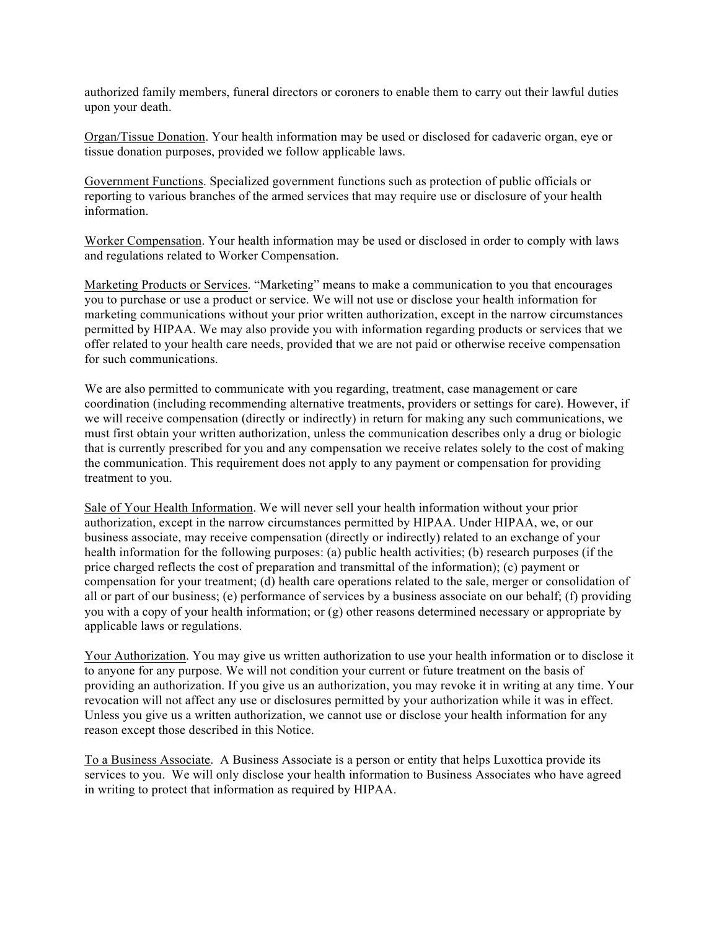authorized family members, funeral directors or coroners to enable them to carry out their lawful duties upon your death.

Organ/Tissue Donation. Your health information may be used or disclosed for cadaveric organ, eye or tissue donation purposes, provided we follow applicable laws.

Government Functions. Specialized government functions such as protection of public officials or reporting to various branches of the armed services that may require use or disclosure of your health information.

Worker Compensation. Your health information may be used or disclosed in order to comply with laws and regulations related to Worker Compensation.

Marketing Products or Services. "Marketing" means to make a communication to you that encourages you to purchase or use a product or service. We will not use or disclose your health information for marketing communications without your prior written authorization, except in the narrow circumstances permitted by HIPAA. We may also provide you with information regarding products or services that we offer related to your health care needs, provided that we are not paid or otherwise receive compensation for such communications.

We are also permitted to communicate with you regarding, treatment, case management or care coordination (including recommending alternative treatments, providers or settings for care). However, if we will receive compensation (directly or indirectly) in return for making any such communications, we must first obtain your written authorization, unless the communication describes only a drug or biologic that is currently prescribed for you and any compensation we receive relates solely to the cost of making the communication. This requirement does not apply to any payment or compensation for providing treatment to you.

Sale of Your Health Information. We will never sell your health information without your prior authorization, except in the narrow circumstances permitted by HIPAA. Under HIPAA, we, or our business associate, may receive compensation (directly or indirectly) related to an exchange of your health information for the following purposes: (a) public health activities; (b) research purposes (if the price charged reflects the cost of preparation and transmittal of the information); (c) payment or compensation for your treatment; (d) health care operations related to the sale, merger or consolidation of all or part of our business; (e) performance of services by a business associate on our behalf; (f) providing you with a copy of your health information; or (g) other reasons determined necessary or appropriate by applicable laws or regulations.

Your Authorization. You may give us written authorization to use your health information or to disclose it to anyone for any purpose. We will not condition your current or future treatment on the basis of providing an authorization. If you give us an authorization, you may revoke it in writing at any time. Your revocation will not affect any use or disclosures permitted by your authorization while it was in effect. Unless you give us a written authorization, we cannot use or disclose your health information for any reason except those described in this Notice.

To a Business Associate. A Business Associate is a person or entity that helps Luxottica provide its services to you. We will only disclose your health information to Business Associates who have agreed in writing to protect that information as required by HIPAA.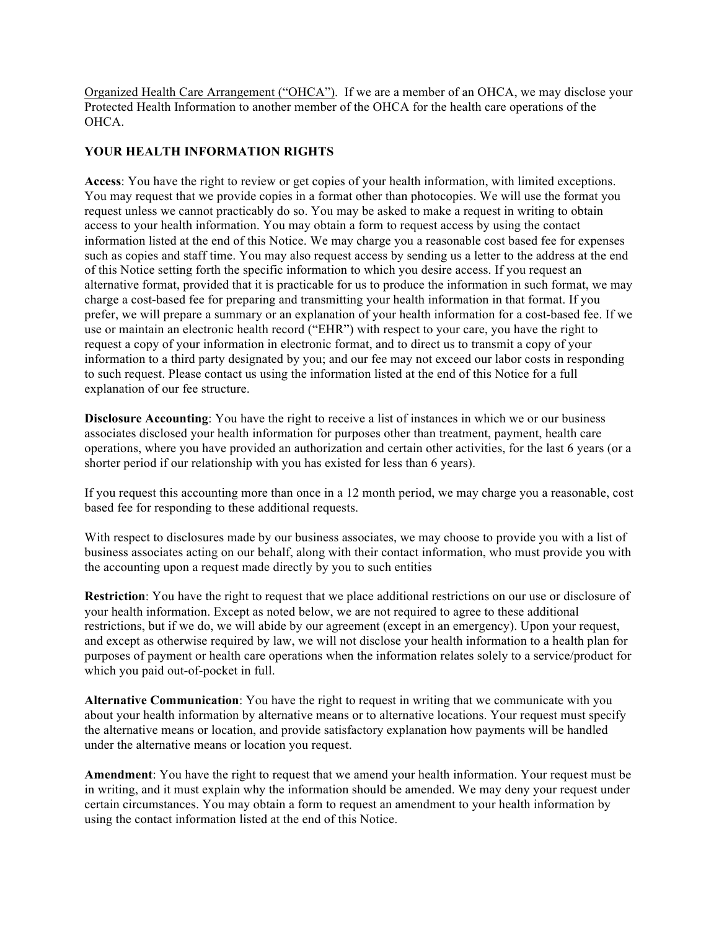Organized Health Care Arrangement ("OHCA"). If we are a member of an OHCA, we may disclose your Protected Health Information to another member of the OHCA for the health care operations of the OHCA.

# **YOUR HEALTH INFORMATION RIGHTS**

**Access**: You have the right to review or get copies of your health information, with limited exceptions. You may request that we provide copies in a format other than photocopies. We will use the format you request unless we cannot practicably do so. You may be asked to make a request in writing to obtain access to your health information. You may obtain a form to request access by using the contact information listed at the end of this Notice. We may charge you a reasonable cost based fee for expenses such as copies and staff time. You may also request access by sending us a letter to the address at the end of this Notice setting forth the specific information to which you desire access. If you request an alternative format, provided that it is practicable for us to produce the information in such format, we may charge a cost-based fee for preparing and transmitting your health information in that format. If you prefer, we will prepare a summary or an explanation of your health information for a cost-based fee. If we use or maintain an electronic health record ("EHR") with respect to your care, you have the right to request a copy of your information in electronic format, and to direct us to transmit a copy of your information to a third party designated by you; and our fee may not exceed our labor costs in responding to such request. Please contact us using the information listed at the end of this Notice for a full explanation of our fee structure.

**Disclosure Accounting**: You have the right to receive a list of instances in which we or our business associates disclosed your health information for purposes other than treatment, payment, health care operations, where you have provided an authorization and certain other activities, for the last 6 years (or a shorter period if our relationship with you has existed for less than 6 years).

If you request this accounting more than once in a 12 month period, we may charge you a reasonable, cost based fee for responding to these additional requests.

With respect to disclosures made by our business associates, we may choose to provide you with a list of business associates acting on our behalf, along with their contact information, who must provide you with the accounting upon a request made directly by you to such entities

**Restriction**: You have the right to request that we place additional restrictions on our use or disclosure of your health information. Except as noted below, we are not required to agree to these additional restrictions, but if we do, we will abide by our agreement (except in an emergency). Upon your request, and except as otherwise required by law, we will not disclose your health information to a health plan for purposes of payment or health care operations when the information relates solely to a service/product for which you paid out-of-pocket in full.

**Alternative Communication**: You have the right to request in writing that we communicate with you about your health information by alternative means or to alternative locations. Your request must specify the alternative means or location, and provide satisfactory explanation how payments will be handled under the alternative means or location you request.

**Amendment**: You have the right to request that we amend your health information. Your request must be in writing, and it must explain why the information should be amended. We may deny your request under certain circumstances. You may obtain a form to request an amendment to your health information by using the contact information listed at the end of this Notice.